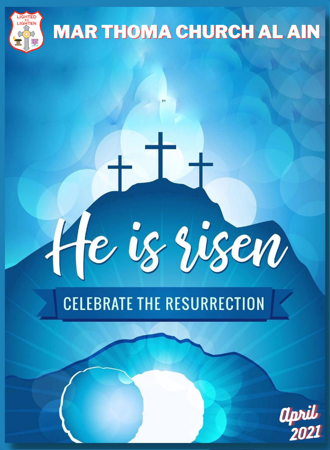

# **MAR THOMA CHURCH AL AIN**

# **CELEBRATE THE RESURRECTION**

He is risen

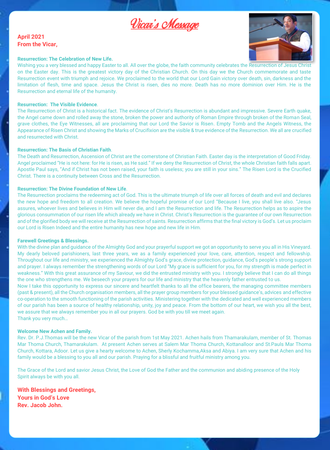

### **April 2021 From the Vicar,**



#### **Resurrection: The Celebration of New Life.**

Wishing you a very blessed and happy Easter to all. All over the globe, the faith community celebrates the Resurrection of Jesus on the Easter day. This is the greatest victory day of the Christian Church. On this day we the Church commemorate and taste Resurrection event with triumph and rejoice. We proclaimed to the world that our Lord Gain victory over death, sin, darkness and the limitation of flesh, time and space. Jesus the Christ is risen, dies no more. Death has no more dominion over Him. He is the Resurrection and eternal life of the humanity.

### **Resurrection: The Visible Evidence**.

The Resurrection of Christ is a historical fact. The evidence of Christ's Resurrection is abundant and impressive. Severe Earth quake, the Angel came down and rolled away the stone, broken the power and authority of Roman Empire through broken of the Roman Seal, grave clothes, the Eye Witnesses, all are proclaiming that our Lord the Savior is Risen. Empty Tomb and the Angels Witness, the Appearance of Risen Christ and showing the Marks of Crucifixion are the visible & true evidence of the Resurrection. We all are crucified and resurrected with Christ.

#### **Resurrection: The Basis of Christian Faith**.

The Death and Resurrection, Ascension of Christ are the cornerstone of Christian Faith. Easter day is the interpretation of Good Friday. Angel proclaimed "He is not here: for He is risen, as He said." If we deny the Resurrection of Christ, the whole Christian faith falls apart. Apostle Paul says, "And if Christ has not been raised, your faith is useless; you are still in your sins." The Risen Lord is the Crucified Christ. There is a continuity between Cross and the Resurrection.

#### **Resurrection: The Divine Foundation of New Life**.

The Resurrection proclaims the redeeming act of God. This is the ultimate triumph of life over all forces of death and evil and declares the new hope and freedom to all creation. We believe the hopeful promise of our Lord "Because I live, you shall live also. "Jesus assures, whoever lives and believes in Him will never die, and I am the Resurrection and life. The Resurrection helps as to aspire the glorious consummation of our risen life which already we have in Christ. Christ's Resurrection is the guarantee of our own Resurrection and of the glorified body we will receive at the Resurrection of saints. Resurrection affirms that the final victory is God's. Let us proclaim our Lord is Risen Indeed and the entire humanity has new hope and new life in Him.

#### **Farewell Greetings & Blessings.**

With the divine plan and guidance of the Almighty God and your prayerful support we got an opportunity to serve you all in His Vineyard. My dearly beloved parishioners, last three years, we as a family experienced your love, care, attention, respect and fellowship. Throughout our life and ministry, we experienced the Almighty God's grace, divine protection, guidance, God's people's strong support and prayer. I always remember the strengthening words of our Lord "My grace is sufficient for you, for my strength is made perfect in weakness." With this great assurance of my Saviour, we did the entrusted ministry with you. I strongly believe that I can do all things the one who strengthens me. We beseech your prayers for our life and ministry that the heavenly father entrusted to us.

Now I take this opportunity to express our sincere and heartfelt thanks to all the office bearers, the managing committee members (past & present), all the Church organisation members, all the prayer group members for your blessed guidance's, advices and effective co-operation to the smooth functioning of the parish activities. Ministering together with the dedicated and well experienced members of our parish has been a source of healthy relationship, unity, joy and peace. From the bottom of our heart, we wish you all the best, we assure that we always remember you in all our prayers. God be with you till we meet again. Thank you very much…

#### **Welcome New Achen and Family.**

Rev. Dr. P.J.Thomas will be the new Vicar of the parish from 1st May 2021. Achen hails from Thamarakulam, member of St. Thomas Mar Thoma Church, Thamarakulam. At present Achen serves at Salem Mar Thoma Church, Kottanalloor and St.Pauls Mar Thoma Church, Kottara, Adoor. Let us give a hearty welcome to Achen, Sherly Kochamma,Aksa and Abiya. I am very sure that Achen and his family would be a blessing to you all and our parish. Praying for a blissful and fruitful ministry among you.

The Grace of the Lord and savior Jesus Christ, the Love of God the Father and the communion and abiding presence of the Holy Spirit always be with you all.

**With Blessings and Greetings, Yours in God's Love Rev. Jacob John.**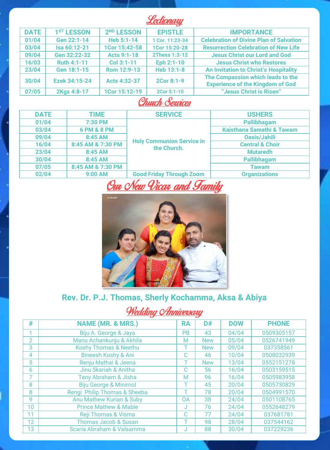### Lectionary

| <b>DATE</b> | 1 <sup>ST</sup> LESSON | 2 <sup>ND</sup> LESSON | <b>EPISTLE</b>  | <b>IMPORTANCE</b>                                                            |  |
|-------------|------------------------|------------------------|-----------------|------------------------------------------------------------------------------|--|
| 01/04       | Gen 22:1-14            | Heb 5:1-14             | 1 Cor. 11:23-34 | <b>Celebration of Divine Plan of Salvation</b>                               |  |
| 03/04       | Isa 60:12-21           | 1Cor 15:42-58          | 1Cor 15:20-28   | <b>Resurrection Celebration of New Life</b>                                  |  |
| 09/04       | Gen 32:22-32           | Acts 9:1-18            | 2Thess 1:3-12   | <b>Jesus Christ our Lord and God</b>                                         |  |
| 16/03       | Ruth 4:1-11            | Col 3:1-11             | Eph 2:1-10      | <b>Jesus Christ who Restores</b>                                             |  |
| 23/04       | Gen 18:1-15            | Rom 12:9-13            | Heb 13:1-8      | <b>An Invitation to Christ's Hospitality</b>                                 |  |
| 30/04       | Ezek 34:15-24          | Acts 4:32-37           | 2Cor 8:1-9      | The Compassion which leads to the<br><b>Experience of the Kingdom of God</b> |  |
| 07/05       | 2Kas 4:8-17            | 1Cor 15:12-19          | 2Cor 5:1-10     | "Jesus Christ is Risen"                                                      |  |

### **Church Services**

| <b>DATE</b> | <b>TIME</b>       | <b>SERVICE</b>                                  | <b>USHERS</b>              |  |
|-------------|-------------------|-------------------------------------------------|----------------------------|--|
| 01/04       | 7:30 PM           |                                                 | Pallibhagam                |  |
| 03/04       | 6 PM & 8 PM       |                                                 | Kaisthana Samathi & Tawam  |  |
| 09/04       | 8:45 AM           |                                                 | Oasis/Jahili               |  |
| 16/04       | 8:45 AM & 7:30 PM | <b>Holy Communion Service in</b><br>the Church. | <b>Central &amp; Choir</b> |  |
| 23/04       | 8:45 AM           |                                                 | <b>Mutaredh</b>            |  |
| 30/04       | 8:45 AM           |                                                 | Pallibhagam                |  |
| 07/05       | 8:45 AM & 7:30 PM |                                                 | <b>Tawam</b>               |  |
| 02/04       | $9:00$ AM         | <b>Good Friday Through Zoom</b>                 | <b>Organizations</b>       |  |

# Our New Vicar and Family



# Rev. Dr. P.J. Thomas, Sherly Kochamma, Aksa & Abiya

# <u>Wedding Anniversary</u>

| #              | <b>NAME (MR. &amp; MRS.)</b>     | <b>RA</b> | D#         | <b>DOW</b> | <b>PHONE</b> |
|----------------|----------------------------------|-----------|------------|------------|--------------|
|                | Biju A. George & Jaya            | <b>PB</b> | 43         | 04/04      | 0509305157   |
| $\overline{2}$ | Manu Achankunju & Akhila         | M         | <b>New</b> | 05/04      | 0526741949   |
| 3              | <b>Koshy Thomas &amp; Neethu</b> |           | <b>New</b> | 09/04      | 037358561    |
| 4              | <b>Bineesh Koshy &amp; Ani</b>   | r.        | 46         | 10/04      | 0508032939   |
| 5              | Renju Mathai & Jeena             |           | <b>New</b> | 13/04      | 0552151278   |
| 6              | Jinu Skariah & Anitha            | С         | 56         | 16/04      | 0503159515   |
|                | Teny Abraham & Jisha             | M         | 96         | 16/04      | 0505983958   |
| 8              | <b>Biju George &amp; Minimol</b> |           | 45         | 20/04      | 0505730829   |
| 8              | Rengi Philip Thomas & Sheeba     |           | 78         | 20/04      | 0504991570   |
| $\mathbf{Q}$   | Anu Mathew Kurian & Suby         | 0A        | 38         | 24/04      | 0501108765   |
| 10             | <b>Prince Mathew &amp; Mable</b> | J         | 76         | 24/04      | 0552648279   |
| 11             | <b>Reji Thomas &amp; Visma</b>   | C         | 77         | 24/04      | 037681781    |
| 12             | <b>Thomas Jacob &amp; Susan</b>  |           | 98         | 28/04      | 037544162    |
| 13             | Scaria Abraham & Valsamma        |           | 88         | 30/04      | 037229236    |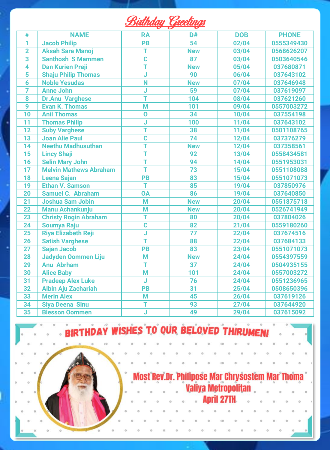| Rinth .<br><i>naan</i> c | 7722 |  |
|--------------------------|------|--|
|                          |      |  |

| #               | <b>NAME</b>                   | <b>RA</b> | D#              | <b>DOB</b> | <b>PHONE</b> |
|-----------------|-------------------------------|-----------|-----------------|------------|--------------|
| 1               | <b>Jacob Philip</b>           | PB        | 54              | 02/04      | 0555349430   |
| $\overline{2}$  | <b>Aksah Sara Manoi</b>       | T         | <b>New</b>      | 03/04      | 0568626207   |
| 3               | <b>Santhosh S Mammen</b>      | Ċ         | 87              | 03/04      | 0503640546   |
| 4               | <b>Dan Kurien Preii</b>       | т         | <b>New</b>      | 05/04      | 037680871    |
| $\overline{5}$  | <b>Shaju Philip Thomas</b>    | J         | 90              | 06/04      | 037643102    |
| 6               | <b>Noble Yesudas</b>          | N         | <b>New</b>      | 07/04      | 037646948    |
| 7               | <b>Anne John</b>              | J         | 59              | 07/04      | 037619097    |
| 8               | <b>Dr.Anu Varghese</b>        | T         | 104             | 08/04      | 037621260    |
| 9               | <b>Evan K. Thomas</b>         | M         | 101             | 09/04      | 0557003272   |
| 10              | <b>Anil Thomas</b>            | Ō         | 34              | 10/04      | 037554198    |
| $\overline{11}$ | <b>Thomas Philip</b>          | J         | 100             | 11/04      | 037643102    |
| 12              | <b>Suby Varghese</b>          | Ť         | 38              | 11/04      | 0501108765   |
| 13              | <b>Joan Alie Paul</b>         | Ċ         | 74              | 12/04      | 037376279    |
| 14              | <b>Neethu Madhusuthan</b>     | Ť         | <b>New</b>      | 12/04      | 037358561    |
| 15              | <b>Lincy Shaji</b>            | Ť         | 92              | 13/04      | 0558434581   |
| 16              | <b>Selin Mary John</b>        | Ŧ         | 94              | 14/04      | 0551953031   |
| 17              | <b>Melvin Mathews Abraham</b> | Ŧ         | 73              | 15/04      | 0551108088   |
| 18              | <b>Leena Sajan</b>            | PB        | 83              | 15/04      | 0551071073   |
| 19              | <b>Ethan V. Samson</b>        | т         | 85              | 19/04      | 037850976    |
| 20              | <b>Samuel C. Abraham</b>      | <b>OA</b> | 86              | 19/04      | 037640850    |
| 21              | <b>Joshua Sam Jobin</b>       | M         | <b>New</b>      | 20/04      | 0551875718   |
| 22              | <b>Manu Achankunju</b>        | M         | <b>New</b>      | 20/04      | 0526741949   |
| 23              | <b>Christy Rogin Abraham</b>  | Ŧ         | 80              | 20/04      | 037804026    |
| 24              | <b>Soumya Raju</b>            | Ċ         | 82              | 21/04      | 0559180260   |
| $\overline{25}$ | <b>Riya Elizabeth Reji</b>    | J         | $\overline{77}$ | 22/04      | 037674516    |
| 26              | <b>Satish Varghese</b>        | Ŧ         | 88              | 22/04      | 037684133    |
| $\overline{27}$ | <b>Sajan Jacob</b>            | PB        | 83              | 23/04      | 0551071073   |
| 28              | <b>Jadyden Oommen Liju</b>    | M         | <b>New</b>      | 24/04      | 0554397559   |
| 29              | <b>Anu Abrham</b>             | Ŧ         | 37              | 24/04      | 0504935155   |
| 30              | <b>Alice Baby</b>             | M         | 101             | 24/04      | 0557003272   |
| 31              | <b>Pradeep Alex Luke</b>      | J         | 76              | 24/04      | 0551236965   |
| 32              | <b>Albin Aju Zachariah</b>    | PB        | 31              | 25/04      | 0508650396   |
| 33              | <b>Merin Alex</b>             | M         | 45              | 26/04      | 037619126    |
| 34              | <b>Siya Deena Sinu</b>        | Ŧ         | 93              | 27/04      | 037644920    |
| $\overline{35}$ | <b>Blesson Oommen</b>         | Ĵ         | 49              | 29/04      | 037615092    |





# Most Rev.Dr. Philipose Mar Chrysostem Mar Thoma<br>Caliya Metropolitan **Anril 27TH**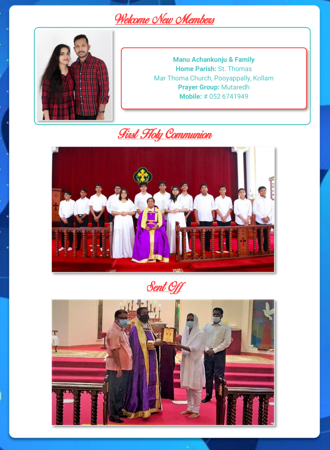# Welcome New Members



**Manu Achankunju & Family Home Parish:** St. Thomas Mar Thoma Church, Pooyappally, Kollam **Prayer Group:** Mutaredh **Mobile:** # 052 6741949





<u>Sent Off</u>